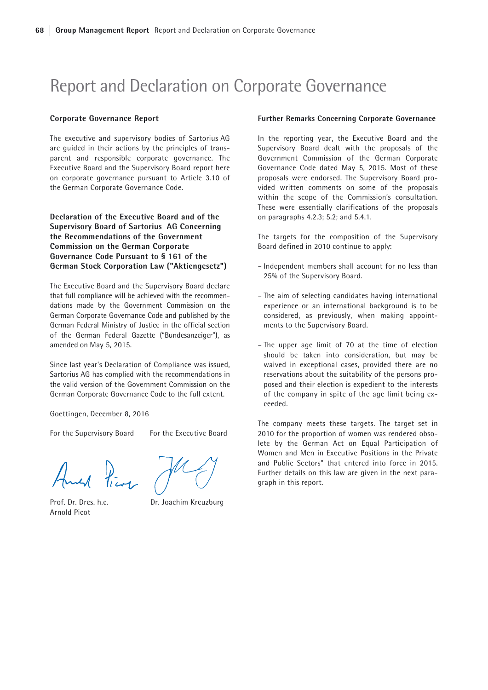# Report and Declaration on Corporate Governance

#### Corporate Governance Report

The executive and supervisory bodies of Sartorius AG are guided in their actions by the principles of transparent and responsible corporate governance. The Executive Board and the Supervisory Board report here on corporate governance pursuant to Article 3.10 of the German Corporate Governance Code.

# Declaration of the Executive Board and of the Supervisory Board of Sartorius AG Concerning the Recommendations of the Government Commission on the German Corporate Governance Code Pursuant to § 161 of the German Stock Corporation Law ("Aktiengesetz")

The Executive Board and the Supervisory Board declare that full compliance will be achieved with the recommendations made by the Government Commission on the German Corporate Governance Code and published by the German Federal Ministry of Justice in the official section of the German Federal Gazette ("Bundesanzeiger"), as amended on May 5, 2015.

Since last year's Declaration of Compliance was issued, Sartorius AG has complied with the recommendations in the valid version of the Government Commission on the German Corporate Governance Code to the full extent.

Goettingen, December 8, 2016

For the Supervisory Board For the Executive Board

And Pier

Arnold Picot

Prof. Dr. Dres. h.c. Dr. Joachim Kreuzburg

#### Further Remarks Concerning Corporate Governance

In the reporting year, the Executive Board and the Supervisory Board dealt with the proposals of the Government Commission of the German Corporate Governance Code dated May 5, 2015. Most of these proposals were endorsed. The Supervisory Board provided written comments on some of the proposals within the scope of the Commission's consultation. These were essentially clarifications of the proposals on paragraphs 4.2.3; 5.2; and 5.4.1.

The targets for the composition of the Supervisory Board defined in 2010 continue to apply:

- Independent members shall account for no less than 25% of the Supervisory Board.
- The aim of selecting candidates having international experience or an international background is to be considered, as previously, when making appointments to the Supervisory Board.
- The upper age limit of 70 at the time of election should be taken into consideration, but may be waived in exceptional cases, provided there are no reservations about the suitability of the persons proposed and their election is expedient to the interests of the company in spite of the age limit being exceeded.

The company meets these targets. The target set in 2010 for the proportion of women was rendered obsolete by the German Act on Equal Participation of Women and Men in Executive Positions in the Private and Public Sectors" that entered into force in 2015. Further details on this law are given in the next paragraph in this report.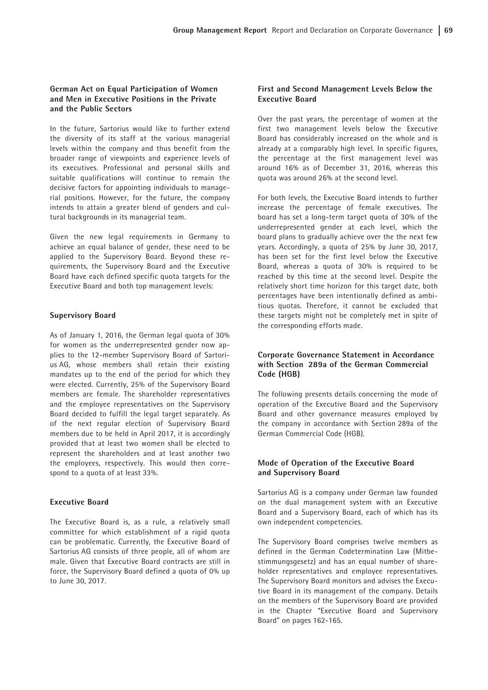# German Act on Equal Participation of Women and Men in Executive Positions in the Private and the Public Sectors

In the future, Sartorius would like to further extend the diversity of its staff at the various managerial levels within the company and thus benefit from the broader range of viewpoints and experience levels of its executives. Professional and personal skills and suitable qualifications will continue to remain the decisive factors for appointing individuals to managerial positions. However, for the future, the company intends to attain a greater blend of genders and cultural backgrounds in its managerial team.

Given the new legal requirements in Germany to achieve an equal balance of gender, these need to be applied to the Supervisory Board. Beyond these requirements, the Supervisory Board and the Executive Board have each defined specific quota targets for the Executive Board and both top management levels:

## Supervisory Board

As of January 1, 2016, the German legal quota of 30% for women as the underrepresented gender now applies to the 12-member Supervisory Board of Sartorius AG, whose members shall retain their existing mandates up to the end of the period for which they were elected. Currently, 25% of the Supervisory Board members are female. The shareholder representatives and the employee representatives on the Supervisory Board decided to fulfill the legal target separately. As of the next regular election of Supervisory Board members due to be held in April 2017, it is accordingly provided that at least two women shall be elected to represent the shareholders and at least another two the employees, respectively. This would then correspond to a quota of at least 33%.

# Executive Board

The Executive Board is, as a rule, a relatively small committee for which establishment of a rigid quota can be problematic. Currently, the Executive Board of Sartorius AG consists of three people, all of whom are male. Given that Executive Board contracts are still in force, the Supervisory Board defined a quota of 0% up to June 30, 2017.

# First and Second Management Levels Below the Executive Board

Over the past years, the percentage of women at the first two management levels below the Executive Board has considerably increased on the whole and is already at a comparably high level. In specific figures, the percentage at the first management level was around 16% as of December 31, 2016, whereas this quota was around 26% at the second level.

For both levels, the Executive Board intends to further increase the percentage of female executives. The board has set a long-term target quota of 30% of the underrepresented gender at each level, which the board plans to gradually achieve over the the next few years. Accordingly, a quota of 25% by June 30, 2017, has been set for the first level below the Executive Board, whereas a quota of 30% is required to be reached by this time at the second level. Despite the relatively short time horizon for this target date, both percentages have been intentionally defined as ambitious quotas. Therefore, it cannot be excluded that these targets might not be completely met in spite of the corresponding efforts made.

# Corporate Governance Statement in Accordance with Section 289a of the German Commercial Code (HGB)

The following presents details concerning the mode of operation of the Executive Board and the Supervisory Board and other governance measures employed by the company in accordance with Section 289a of the German Commercial Code (HGB).

# Mode of Operation of the Executive Board and Supervisory Board

Sartorius AG is a company under German law founded on the dual management system with an Executive Board and a Supervisory Board, each of which has its own independent competencies.

The Supervisory Board comprises twelve members as defined in the German Codetermination Law (Mitbestimmungsgesetz) and has an equal number of shareholder representatives and employee representatives. The Supervisory Board monitors and advises the Executive Board in its management of the company. Details on the members of the Supervisory Board are provided in the Chapter "Executive Board and Supervisory Board" on pages 162-165.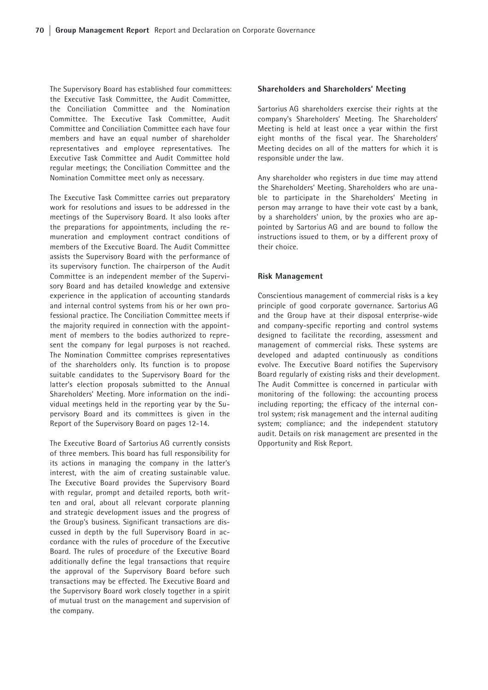The Supervisory Board has established four committees: the Executive Task Committee, the Audit Committee, the Conciliation Committee and the Nomination Committee. The Executive Task Committee, Audit Committee and Conciliation Committee each have four members and have an equal number of shareholder representatives and employee representatives. The Executive Task Committee and Audit Committee hold regular meetings; the Conciliation Committee and the Nomination Committee meet only as necessary.

The Executive Task Committee carries out preparatory work for resolutions and issues to be addressed in the meetings of the Supervisory Board. It also looks after the preparations for appointments, including the remuneration and employment contract conditions of members of the Executive Board. The Audit Committee assists the Supervisory Board with the performance of its supervisory function. The chairperson of the Audit Committee is an independent member of the Supervisory Board and has detailed knowledge and extensive experience in the application of accounting standards and internal control systems from his or her own professional practice. The Conciliation Committee meets if the majority required in connection with the appointment of members to the bodies authorized to represent the company for legal purposes is not reached. The Nomination Committee comprises representatives of the shareholders only. Its function is to propose suitable candidates to the Supervisory Board for the latter's election proposals submitted to the Annual Shareholders' Meeting. More information on the individual meetings held in the reporting year by the Supervisory Board and its committees is given in the Report of the Supervisory Board on pages 12-14.

The Executive Board of Sartorius AG currently consists of three members. This board has full responsibility for its actions in managing the company in the latter's interest, with the aim of creating sustainable value. The Executive Board provides the Supervisory Board with regular, prompt and detailed reports, both written and oral, about all relevant corporate planning and strategic development issues and the progress of the Group's business. Significant transactions are discussed in depth by the full Supervisory Board in accordance with the rules of procedure of the Executive Board. The rules of procedure of the Executive Board additionally define the legal transactions that require the approval of the Supervisory Board before such transactions may be effected. The Executive Board and the Supervisory Board work closely together in a spirit of mutual trust on the management and supervision of the company.

### Shareholders and Shareholders' Meeting

Sartorius AG shareholders exercise their rights at the company's Shareholders' Meeting. The Shareholders' Meeting is held at least once a year within the first eight months of the fiscal year. The Shareholders' Meeting decides on all of the matters for which it is responsible under the law.

Any shareholder who registers in due time may attend the Shareholders' Meeting. Shareholders who are unable to participate in the Shareholders' Meeting in person may arrange to have their vote cast by a bank, by a shareholders' union, by the proxies who are appointed by Sartorius AG and are bound to follow the instructions issued to them, or by a different proxy of their choice.

## Risk Management

Conscientious management of commercial risks is a key principle of good corporate governance. Sartorius AG and the Group have at their disposal enterprise-wide and company-specific reporting and control systems designed to facilitate the recording, assessment and management of commercial risks. These systems are developed and adapted continuously as conditions evolve. The Executive Board notifies the Supervisory Board regularly of existing risks and their development. The Audit Committee is concerned in particular with monitoring of the following: the accounting process including reporting; the efficacy of the internal control system; risk management and the internal auditing system; compliance; and the independent statutory audit. Details on risk management are presented in the Opportunity and Risk Report.